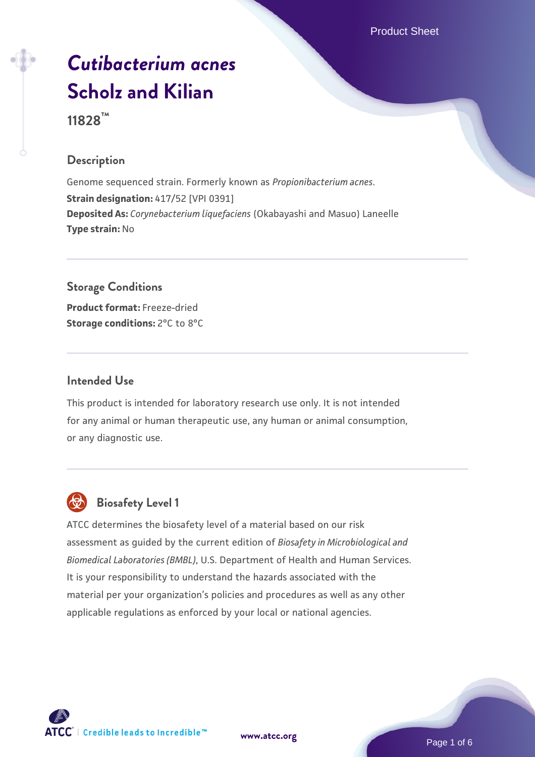Product Sheet

# *[Cutibacterium acnes](https://www.atcc.org/products/11828)* **[Scholz and Kilian](https://www.atcc.org/products/11828)**

**11828™**

## **Description**

Genome sequenced strain. Formerly known as *Propionibacterium acnes*. **Strain designation:** 417/52 [VPI 0391] **Deposited As:** *Corynebacterium liquefaciens* (Okabayashi and Masuo) Laneelle **Type strain:** No

**Storage Conditions Product format:** Freeze-dried

**Storage conditions:** 2°C to 8°C

#### **Intended Use**

This product is intended for laboratory research use only. It is not intended for any animal or human therapeutic use, any human or animal consumption, or any diagnostic use.



# **Biosafety Level 1**

ATCC determines the biosafety level of a material based on our risk assessment as guided by the current edition of *Biosafety in Microbiological and Biomedical Laboratories (BMBL)*, U.S. Department of Health and Human Services. It is your responsibility to understand the hazards associated with the material per your organization's policies and procedures as well as any other applicable regulations as enforced by your local or national agencies.



**[www.atcc.org](http://www.atcc.org)**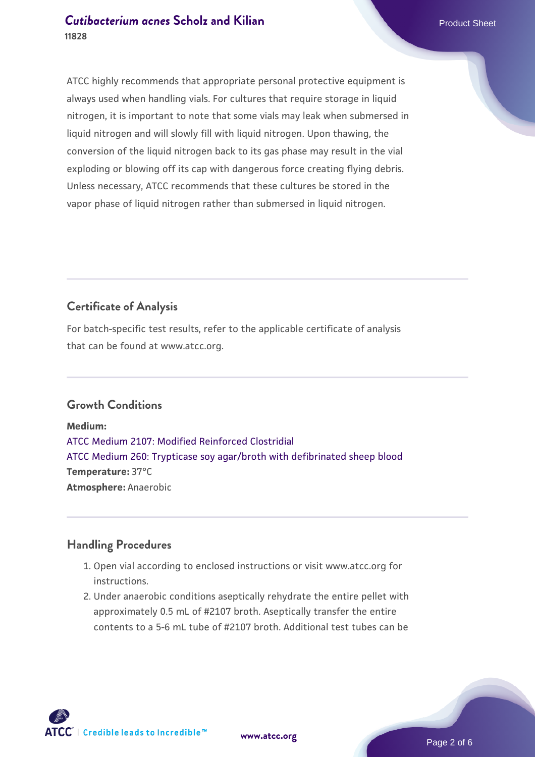ATCC highly recommends that appropriate personal protective equipment is always used when handling vials. For cultures that require storage in liquid nitrogen, it is important to note that some vials may leak when submersed in liquid nitrogen and will slowly fill with liquid nitrogen. Upon thawing, the conversion of the liquid nitrogen back to its gas phase may result in the vial exploding or blowing off its cap with dangerous force creating flying debris. Unless necessary, ATCC recommends that these cultures be stored in the vapor phase of liquid nitrogen rather than submersed in liquid nitrogen.

# **Certificate of Analysis**

For batch-specific test results, refer to the applicable certificate of analysis that can be found at www.atcc.org.

## **Growth Conditions**

**Medium:**  [ATCC Medium 2107: Modified Reinforced Clostridial](https://www.atcc.org/-/media/product-assets/documents/microbial-media-formulations/2/1/0/7/atcc-medium-2107.pdf?rev=ee9354b0a6e64625ada8a6381e27065c) [ATCC Medium 260: Trypticase soy agar/broth with defibrinated sheep blood](https://www.atcc.org/-/media/product-assets/documents/microbial-media-formulations/2/6/0/atcc-medium-0260.pdf?rev=5d6614780b1c4acf817a324e2507f087) **Temperature:** 37°C **Atmosphere:** Anaerobic

#### **Handling Procedures**

- 1. Open vial according to enclosed instructions or visit www.atcc.org for instructions.
- 2. Under anaerobic conditions aseptically rehydrate the entire pellet with approximately 0.5 mL of #2107 broth. Aseptically transfer the entire contents to a 5-6 mL tube of #2107 broth. Additional test tubes can be

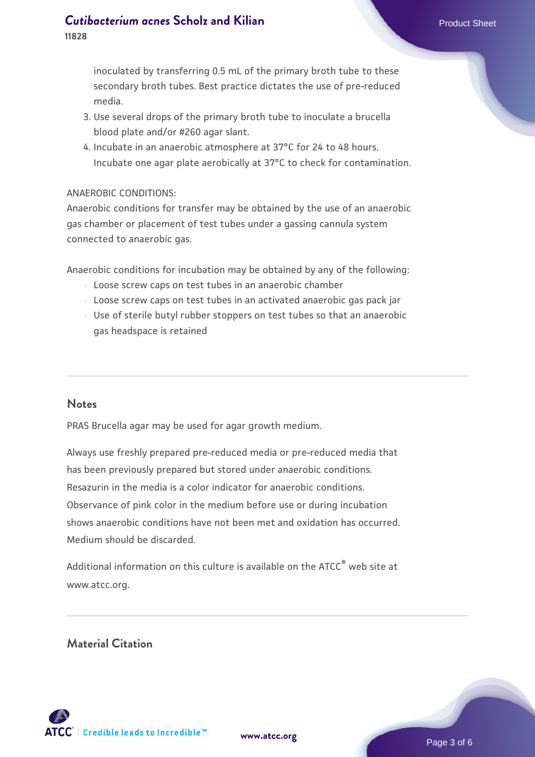inoculated by transferring 0.5 mL of the primary broth tube to these secondary broth tubes. Best practice dictates the use of pre-reduced media.

- 3. Use several drops of the primary broth tube to inoculate a brucella blood plate and/or #260 agar slant.
- 4. Incubate in an anaerobic atmosphere at 37°C for 24 to 48 hours. Incubate one agar plate aerobically at 37°C to check for contamination.

#### ANAEROBIC CONDITIONS:

Anaerobic conditions for transfer may be obtained by the use of an anaerobic gas chamber or placement of test tubes under a gassing cannula system connected to anaerobic gas.

Anaerobic conditions for incubation may be obtained by any of the following:

- Loose screw caps on test tubes in an anaerobic chamber
- Loose screw caps on test tubes in an activated anaerobic gas pack jar
- Use of sterile butyl rubber stoppers on test tubes so that an anaerobic gas headspace is retained

#### **Notes**

PRAS Brucella agar may be used for agar growth medium.

Always use freshly prepared pre-reduced media or pre-reduced media that has been previously prepared but stored under anaerobic conditions. Resazurin in the media is a color indicator for anaerobic conditions. Observance of pink color in the medium before use or during incubation shows anaerobic conditions have not been met and oxidation has occurred. Medium should be discarded.

Additional information on this culture is available on the  $\tt{ATCC}^{\textdegree}$  web site at www.atcc.org.

#### **Material Citation**



**[www.atcc.org](http://www.atcc.org)**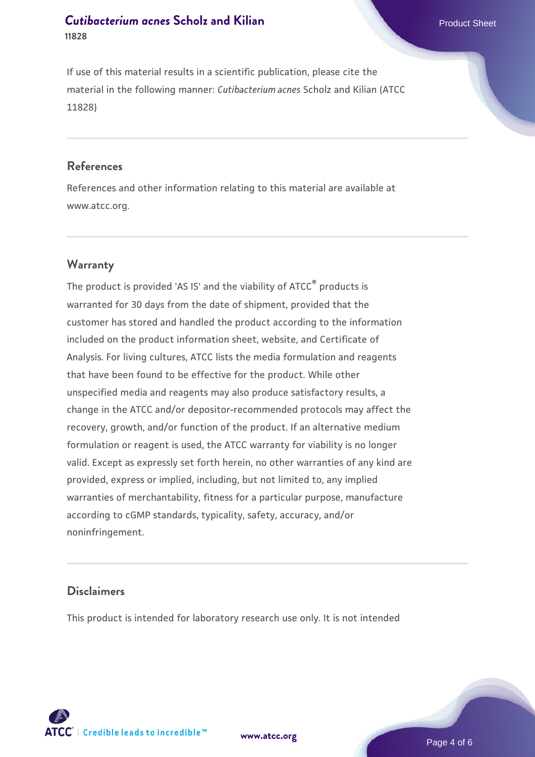If use of this material results in a scientific publication, please cite the material in the following manner: *Cutibacterium acnes* Scholz and Kilian (ATCC 11828)

#### **References**

References and other information relating to this material are available at www.atcc.org.

#### **Warranty**

The product is provided 'AS IS' and the viability of ATCC<sup>®</sup> products is warranted for 30 days from the date of shipment, provided that the customer has stored and handled the product according to the information included on the product information sheet, website, and Certificate of Analysis. For living cultures, ATCC lists the media formulation and reagents that have been found to be effective for the product. While other unspecified media and reagents may also produce satisfactory results, a change in the ATCC and/or depositor-recommended protocols may affect the recovery, growth, and/or function of the product. If an alternative medium formulation or reagent is used, the ATCC warranty for viability is no longer valid. Except as expressly set forth herein, no other warranties of any kind are provided, express or implied, including, but not limited to, any implied warranties of merchantability, fitness for a particular purpose, manufacture according to cGMP standards, typicality, safety, accuracy, and/or noninfringement.

## **Disclaimers**

This product is intended for laboratory research use only. It is not intended



**[www.atcc.org](http://www.atcc.org)**

Page 4 of 6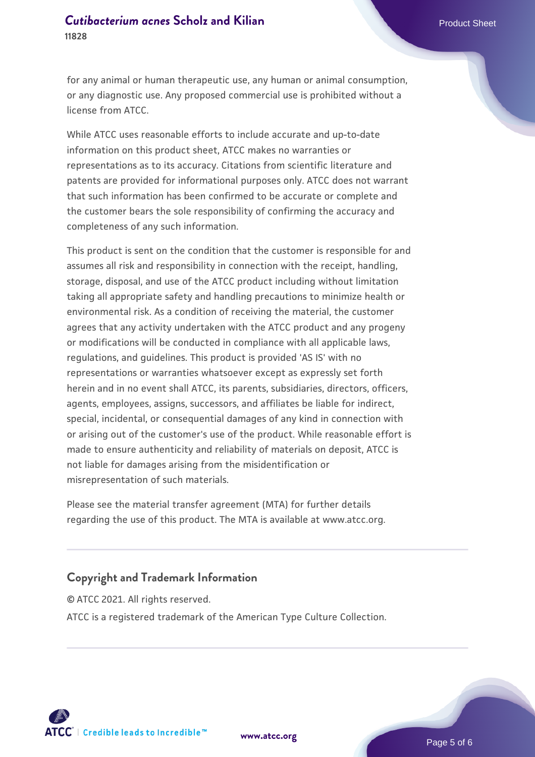for any animal or human therapeutic use, any human or animal consumption, or any diagnostic use. Any proposed commercial use is prohibited without a license from ATCC.

While ATCC uses reasonable efforts to include accurate and up-to-date information on this product sheet, ATCC makes no warranties or representations as to its accuracy. Citations from scientific literature and patents are provided for informational purposes only. ATCC does not warrant that such information has been confirmed to be accurate or complete and the customer bears the sole responsibility of confirming the accuracy and completeness of any such information.

This product is sent on the condition that the customer is responsible for and assumes all risk and responsibility in connection with the receipt, handling, storage, disposal, and use of the ATCC product including without limitation taking all appropriate safety and handling precautions to minimize health or environmental risk. As a condition of receiving the material, the customer agrees that any activity undertaken with the ATCC product and any progeny or modifications will be conducted in compliance with all applicable laws, regulations, and guidelines. This product is provided 'AS IS' with no representations or warranties whatsoever except as expressly set forth herein and in no event shall ATCC, its parents, subsidiaries, directors, officers, agents, employees, assigns, successors, and affiliates be liable for indirect, special, incidental, or consequential damages of any kind in connection with or arising out of the customer's use of the product. While reasonable effort is made to ensure authenticity and reliability of materials on deposit, ATCC is not liable for damages arising from the misidentification or misrepresentation of such materials.

Please see the material transfer agreement (MTA) for further details regarding the use of this product. The MTA is available at www.atcc.org.

#### **Copyright and Trademark Information**

© ATCC 2021. All rights reserved. ATCC is a registered trademark of the American Type Culture Collection.



**[www.atcc.org](http://www.atcc.org)**

Page 5 of 6